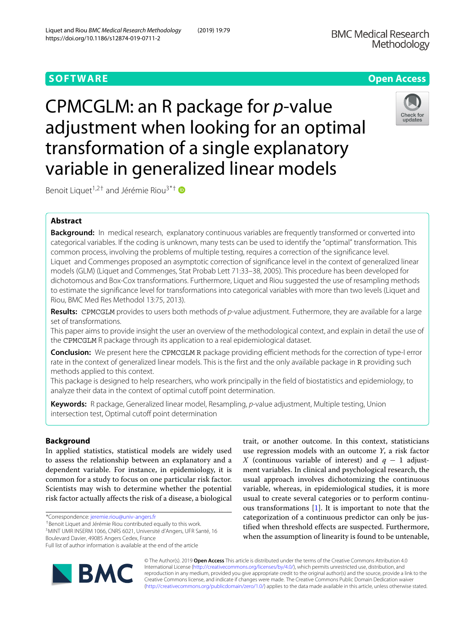https://doi.org/10.1186/s12874-019-0711-2

CPMCGLM: an R package for *p*-value adjustment when looking for an optimal transformation of a single explanatory variable in generalized linear models

Benoit Liquet<sup>1,2†</sup> and Jérémie Riou<sup>3\*†</sup>

# **Abstract**

**Background:** In medical research, explanatory continuous variables are frequently transformed or converted into categorical variables. If the coding is unknown, many tests can be used to identify the "optimal" transformation. This common process, involving the problems of multiple testing, requires a correction of the significance level. Liquet and Commenges proposed an asymptotic correction of significance level in the context of generalized linear models (GLM) (Liquet and Commenges, Stat Probab Lett 71:33–38, 2005). This procedure has been developed for dichotomous and Box-Cox transformations. Furthermore, Liquet and Riou suggested the use of resampling methods to estimate the significance level for transformations into categorical variables with more than two levels (Liquet and Riou, BMC Med Res Methodol 13:75, 2013).

**Results:** CPMCGLM provides to users both methods of p-value adjustment. Futhermore, they are available for a large set of transformations.

This paper aims to provide insight the user an overview of the methodological context, and explain in detail the use of the CPMCGLM R package through its application to a real epidemiological dataset.

**Conclusion:** We present here the CPMCGLM R package providing efficient methods for the correction of type-I error rate in the context of generalized linear models. This is the first and the only available package in R providing such methods applied to this context.

This package is designed to help researchers, who work principally in the field of biostatistics and epidemiology, to analyze their data in the context of optimal cutoff point determination.

**Keywords:** R package, Generalized linear model, Resampling, p-value adjustment, Multiple testing, Union intersection test, Optimal cutoff point determination

# **Background**

In applied statistics, statistical models are widely used to assess the relationship between an explanatory and a dependent variable. For instance, in epidemiology, it is common for a study to focus on one particular risk factor. Scientists may wish to determine whether the potential risk factor actually affects the risk of a disease, a biological

\*Correspondence: [jeremie.riou@univ-angers.fr](mailto: jeremie.riou@univ-angers.fr)

†Benoit Liquet and Jérémie Riou contributed equally to this work. 3MINT UMR INSERM 1066, CNRS 6021, Université d'Angers, UFR Santé, 16

Boulevard Davier, 49085 Angers Cedex, France

© The Author(s). 2019 **Open Access** This article is distributed under the terms of the Creative Commons Attribution 4.0 International License [\(http://creativecommons.org/licenses/by/4.0/\)](http://creativecommons.org/licenses/by/4.0/), which permits unrestricted use, distribution, and reproduction in any medium, provided you give appropriate credit to the original author(s) and the source, provide a link to the Creative Commons license, and indicate if changes were made. The Creative Commons Public Domain Dedication waiver [\(http://creativecommons.org/publicdomain/zero/1.0/\)](http://creativecommons.org/publicdomain/zero/1.0/) applies to the data made available in this article, unless otherwise stated.

trait, or another outcome. In this context, statisticians use regression models with an outcome *Y*, a risk factor *X* (continuous variable of interest) and  $q - 1$  adjustment variables. In clinical and psychological research, the usual approach involves dichotomizing the continuous variable, whereas, in epidemiological studies, it is more usual to create several categories or to perform continuous transformations [\[1\]](#page-7-0). It is important to note that the categorization of a continuous predictor can only be justified when threshold effects are suspected. Furthermore, when the assumption of linearity is found to be untenable,





Full list of author information is available at the end of the article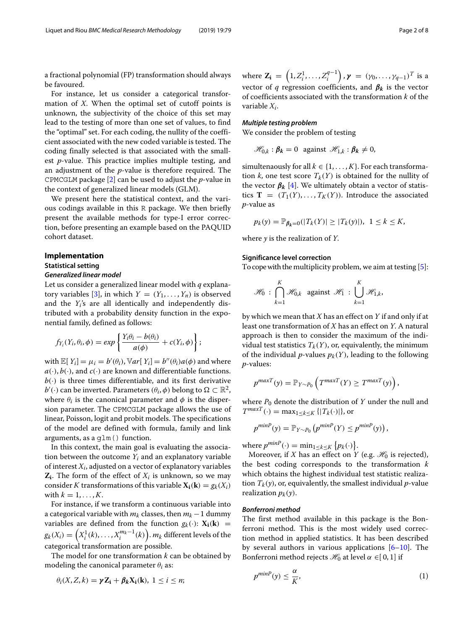a fractional polynomial (FP) transformation should always be favoured.

For instance, let us consider a categorical transformation of *X*. When the optimal set of cutoff points is unknown, the subjectivity of the choice of this set may lead to the testing of more than one set of values, to find the "optimal" set. For each coding, the nullity of the coefficient associated with the new coded variable is tested. The coding finally selected is that associated with the smallest *p*-value. This practice implies multiple testing, and an adjustment of the *p*-value is therefore required. The CPMCGLM package [\[2\]](#page-7-1) can be used to adjust the *p*-value in the context of generalized linear models (GLM).

We present here the statistical context, and the various codings available in this R package. We then briefly present the available methods for type-I error correction, before presenting an example based on the PAQUID cohort dataset.

## **Implementation**

#### **Statistical setting**

#### *Generalized linear model*

Let us consider a generalized linear model with *q* explana-tory variables [\[3\]](#page-7-2), in which  $Y = (Y_1, \ldots, Y_n)$  is observed and the *Yi*'s are all identically and independently distributed with a probability density function in the exponential family, defined as follows:

$$
f_{Y_i}(Y_i, \theta_i, \phi) = exp\left\{\frac{Y_i\theta_i - b(\theta_i)}{a(\phi)} + c(Y_i, \phi)\right\};
$$

with  $\mathbb{E}[Y_i] = \mu_i = b'(\theta_i)$ ,  $\mathbb{V}ar[Y_i] = b''(\theta_i)a(\phi)$  and where  $a(\cdot)$ ,  $b(\cdot)$ , and  $c(\cdot)$  are known and differentiable functions.  $b(\cdot)$  is three times differentiable, and its first derivative  $b'(\cdot)$  can be inverted. Parameters  $(\theta_i, \phi)$  belong to  $\Omega \subset \mathbb{R}^2$ , where  $\theta_i$  is the canonical parameter and  $\phi$  is the dispersion parameter. The CPMCGLM package allows the use of linear, Poisson, logit and probit models. The specifications of the model are defined with formula, family and link arguments, as a glm() function.

In this context, the main goal is evaluating the association between the outcome  $Y_i$  and an explanatory variable of interest  $X_i$ , adjusted on a vector of explanatory variables  $\mathbf{Z}_i$ . The form of the effect of  $X_i$  is unknown, so we may consider *K* transformations of this variable  $X_i(k) = g_k(X_i)$ with  $k = 1, \ldots, K$ .

For instance, if we transform a continuous variable into a categorical variable with  $m_k$  classes, then  $m_k - 1$  dummy variables are defined from the function  $g_k(\cdot)$ :  $X_i(k)$  =  $g_k(X_i) = \left(X_i^1(k),\ldots,X_i^{m_k-1}(k)\right)$ .  $m_k$  different levels of the categorical transformation are possible.

The model for one transformation *k* can be obtained by modeling the canonical parameter  $\theta_i$  as:

$$
\theta_i(X, Z, k) = \gamma Z_i + \beta_k X_i(k), \ 1 \leq i \leq n;
$$

where  $\mathbf{Z_i} \,=\, \left(1,Z_i^1,\ldots,Z_i^{q-1}\right)$  ,  $\boldsymbol{\gamma} \,=\, \left(\gamma_0,\ldots,\gamma_{q-1}\right)^T$  is a vector of *q* regression coefficients, and  $\beta_k$  is the vector of coefficients associated with the transformation *k* of the variable *Xi*.

#### *Multiple testing problem*

We consider the problem of testing

 $\mathcal{H}_{0,k}$  :  $\beta_k = 0$  against  $\mathcal{H}_{1,k}$  :  $\beta_k \neq 0$ ,

simultenaously for all  $k \in \{1, \ldots, K\}$ . For each transformation *k*, one test score  $T_k(Y)$  is obtained for the nullity of the vector  $\beta_k$  [\[4\]](#page-7-3). We ultimately obtain a vector of statistics **T** =  $(T_1(Y),...,T_K(Y))$ . Introduce the associated *p*-value as

$$
p_k(y) = \mathbb{P}_{\beta_k=0}(|T_k(Y)| \geq |T_k(y)|), \ \ 1 \leq k \leq K,
$$

where *y* is the realization of *Y*.

## **Significance level correction**

To cope with the multiplicity problem, we aim at testing [\[5\]](#page-7-4):

$$
\mathscr{H}_0: \bigcap_{k=1}^K \mathscr{H}_{0,k} \text{ against } \mathscr{H}_1: \bigcup_{k=1}^K \mathscr{H}_{1,k},
$$

by which we mean that *X* has an effect on *Y* if and only if at least one transformation of *X* has an effect on *Y*. A natural approach is then to consider the maximum of the individual test statistics  $T_k(Y)$ , or, equivalently, the minimum of the individual *p*-values  $p_k(Y)$ , leading to the following *p*-values:

$$
p^{maxT}(y) = \mathbb{P}_{Y \sim P_0} \left( T^{maxT}(Y) \geq T^{maxT}(y) \right),
$$

where  $P_0$  denote the distribution of  $Y$  under the null and  $T^{maxT}(\cdot) = \max_{1 \leq k \leq K} \{ |T_k(\cdot)| \}$ , or

$$
p^{minP}(y) = \mathbb{P}_{Y \sim P_0} (p^{minP}(Y) \leq p^{minP}(y)),
$$

where  $p^{minP}(\cdot) = \min_{1 \le k \le K} \{p_k(\cdot)\}.$ 

Moreover, if *X* has an effect on *Y* (e.g.  $\mathcal{H}_0$  is rejected), the best coding corresponds to the transformation *k* which obtains the highest individual test statistic realization  $T_k(y)$ , or, equivalently, the smallest individual *p*-value realization  $p_k(y)$ .

#### *Bonferroni method*

The first method available in this package is the Bonferroni method. This is the most widely used correction method in applied statistics. It has been described by several authors in various applications [\[6–](#page-7-5)[10\]](#page-7-6). The Bonferroni method rejects  $\mathcal{H}_0$  at level  $\alpha \in [0,1]$  if

$$
p^{minP}(y) \le \frac{\alpha}{K},\tag{1}
$$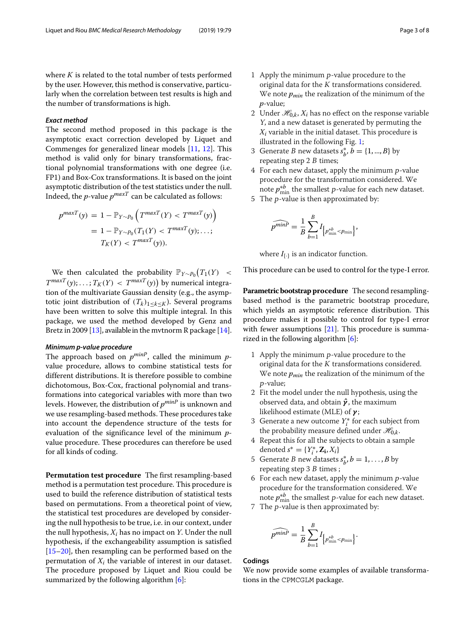where *K* is related to the total number of tests performed by the user. However, this method is conservative, particularly when the correlation between test results is high and the number of transformations is high.

# *Exact method*

The second method proposed in this package is the asymptotic exact correction developed by Liquet and Commenges for generalized linear models [\[11,](#page-7-7) [12\]](#page-7-8). This method is valid only for binary transformations, fractional polynomial transformations with one degree (i.e. FP1) and Box-Cox transformations. It is based on the joint asymptotic distribution of the test statistics under the null. Indeed, the *p*-value  $p^{maxT}$  can be calculated as follows:

$$
p^{maxT}(y) = 1 - \mathbb{P}_{Y \sim P_0} \left( T^{maxT}(Y) < T^{maxT}(y) \right)
$$
\n
$$
= 1 - \mathbb{P}_{Y \sim P_0} (T_1(Y) < T^{maxT}(y); \ldots; T_K(Y) < T^{maxT}(y)).
$$

We then calculated the probability  $\mathbb{P}_{Y \sim P_0}(T_1(Y))$  <  $T^{maxT}(y)$ ; ... ;  $T_K(Y) < T^{maxT}(y)$  by numerical integration of the multivariate Gaussian density (e.g., the asymptotic joint distribution of  $(T_k)_{1\leq k\leq K}$ ). Several programs have been written to solve this multiple integral. In this package, we used the method developed by Genz and Bretz in 2009 [\[13\]](#page-7-9), available in the mvtnorm R package [\[14\]](#page-7-10).

## *Minimum p-value procedure*

The approach based on *pminP*, called the minimum *p*value procedure, allows to combine statistical tests for different distributions. It is therefore possible to combine dichotomous, Box-Cox, fractional polynomial and transformations into categorical variables with more than two levels. However, the distribution of *pminP* is unknown and we use resampling-based methods. These procedures take into account the dependence structure of the tests for evaluation of the significance level of the minimum *p*value procedure. These procedures can therefore be used for all kinds of coding.

**Permutation test procedure** The first resampling-based method is a permutation test procedure. This procedure is used to build the reference distribution of statistical tests based on permutations. From a theoretical point of view, the statistical test procedures are developed by considering the null hypothesis to be true, i.e. in our context, under the null hypothesis, *Xi* has no impact on *Y*. Under the null hypothesis, if the exchangeability assumption is satisfied [\[15](#page-7-11)[–20\]](#page-7-12), then resampling can be performed based on the permutation of  $X_i$  the variable of interest in our dataset. The procedure proposed by Liquet and Riou could be summarized by the following algorithm [\[6\]](#page-7-5):

- 1 Apply the minimum <sup>p</sup>-value procedure to the original data for the  $K$  transformations considered. We note *pmin* the realization of the minimum of the *p*-value;
- 2 Under  $\mathcal{H}_{0,k}$ ,  $X_i$  has no effect on the response variable <sup>Y</sup>, and a new dataset is generated by permuting the *Xi* variable in the initial dataset. This procedure is illustrated in the following Fig. [1;](#page-3-0)
- 3 Generate *B* new datasets  $s_b^*$ ,  $b = \{1, ..., B\}$  by repeating step  $2 B$  times;
- 4 For each new dataset, apply the minimum <sup>p</sup>-value procedure for the transformation considered. We note  $p_{\min}^{*b}$  the smallest  $p$ -value for each new dataset.
- 5 The <sup>p</sup>-value is then approximated by:

$$
\widehat{p^{minP}} = \frac{1}{B} \sum_{b=1}^{B} I_{\left\{p_{\min}^{*b} < p_{\min}\right\}},
$$

where  $I_{\{\cdot\}}$  is an indicator function.

This procedure can be used to control for the type-I error.

**Parametric bootstrap procedure** The second resamplingbased method is the parametric bootstrap procedure, which yields an asymptotic reference distribution. This procedure makes it possible to control for type-I error with fewer assumptions [\[21\]](#page-7-13). This procedure is summarized in the following algorithm [\[6\]](#page-7-5):

- 1 Apply the minimum <sup>p</sup>-value procedure to the original data for the  $K$  transformations considered. We note *pmin* the realization of the minimum of the <sup>p</sup>-value;
- 2 Fit the model under the null hypothesis, using the observed data, and obtain *γ***ˆ**, the maximum likelihood estimate (MLE) of *γ* ;
- 3 Generate a new outcome *Y*∗ *<sup>i</sup>* for each subject from the probability measure defined under  $\mathcal{H}_{0,k}$ .
- 4 Repeat this for all the subjects to obtain a sample denoted  $s^* = \{Y_i^*, \mathbf{Z_i}, X_i\}$
- 5 Generate *B* new datasets  $s_b^*, b = 1, \ldots, B$  by repeating step 3 <sup>B</sup> times ;
- 6 For each new dataset, apply the minimum <sup>p</sup>-value procedure for the transformation considered. We note  $p_{\min}^{*b}$  the smallest  $p$ -value for each new dataset.
- 7 The <sup>p</sup>-value is then approximated by:

$$
\widehat{p^{minP}} = \frac{1}{B} \sum_{b=1}^{B} I_{\left\{p_{\min}^{*b} < p_{\min}\right\}}.
$$

# **Codings**

We now provide some examples of available transformations in the CPMCGLM package.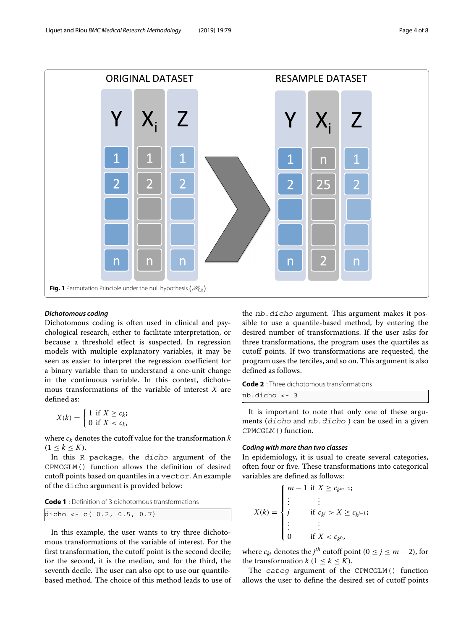

# <span id="page-3-0"></span>*Dichotomous coding*

Dichotomous coding is often used in clinical and psychological research, either to facilitate interpretation, or because a threshold effect is suspected. In regression models with multiple explanatory variables, it may be seen as easier to interpret the regression coefficient for a binary variable than to understand a one-unit change in the continuous variable. In this context, dichotomous transformations of the variable of interest *X* are defined as:

$$
X(k) = \begin{cases} 1 & \text{if } X \ge c_k; \\ 0 & \text{if } X < c_k, \end{cases}
$$

where  $c_k$  denotes the cutoff value for the transformation  $k$  $(1 \leq k \leq K)$ .

In this R package, the dicho argument of the CPMCGLM() function allows the definition of desired cutoff points based on quantiles in a vector. An example of the dicho argument is provided below:

**Code 1** : Definition of 3 dichotomous transformations

dicho <- c(  $0.2, 0.5, 0.7$ )

In this example, the user wants to try three dichotomous transformations of the variable of interest. For the first transformation, the cutoff point is the second decile; for the second, it is the median, and for the third, the seventh decile. The user can also opt to use our quantilebased method. The choice of this method leads to use of the nb.dicho argument. This argument makes it possible to use a quantile-based method, by entering the desired number of transformations. If the user asks for three transformations, the program uses the quartiles as cutoff points. If two transformations are requested, the program uses the terciles, and so on. This argument is also defined as follows.

**Code 2** : Three dichotomous transformations nb.dicho <- 3

It is important to note that only one of these arguments (dicho and nb.dicho ) can be used in a given CPMCGLM () function.

# *Coding with more than two classes*

In epidemiology, it is usual to create several categories, often four or five. These transformations into categorical variables are defined as follows:

$$
X(k) = \begin{cases} m - 1 & \text{if } X \ge c_{k^{m-2}}; \\ \vdots & \vdots \\ j & \text{if } c_{k'} > X \ge c_{k^{j-1}}; \\ \vdots & \vdots \\ 0 & \text{if } X < c_{k^0}, \end{cases}
$$

where  $c_{k^j}$  denotes the *j<sup>th</sup>* cutoff point ( $0 \le j \le m - 2$ ), for the transformation  $k$  ( $1 \leq k \leq K$ ).

The categ argument of the CPMCGLM() function allows the user to define the desired set of cutoff points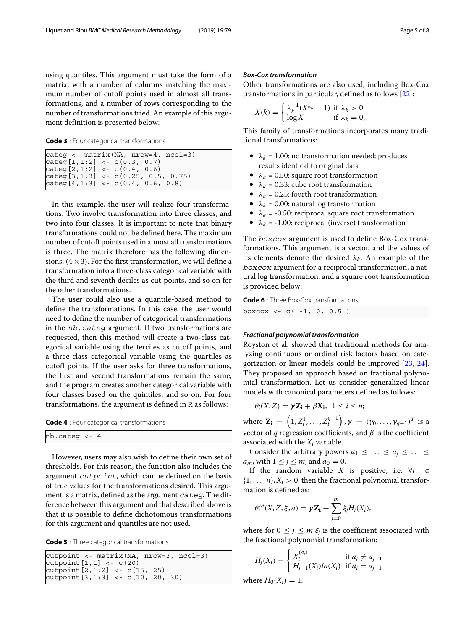using quantiles. This argument must take the form of a matrix, with a number of columns matching the maximum number of cutoff points used in almost all transformations, and a number of rows corresponding to the number of transformations tried. An example of this argument definition is presented below:

**Code 3** : Four categorical transformations

```
categ <- matrix(NA, nrow=4, ncol=3)
\text{categ}[1,1:2] <- \text{c}(0.3, 0.7)\text{categ}[2,1:2] <- \text{c}(0.4, 0.6)categ[3,1:3] <- c(0.25, 0.5, 0.75)
\text{categ}[4,1:3] <- \text{c}(0.4, 0.6, 0.8)
```
In this example, the user will realize four transformations. Two involve transformation into three classes, and two into four classes. It is important to note that binary transformations could not be defined here. The maximum number of cutoff points used in almost all transformations is three. The matrix therefore has the following dimensions:  $(4 \times 3)$ . For the first transformation, we will define a transformation into a three-class categorical variable with the third and seventh deciles as cut-points, and so on for the other transformations.

The user could also use a quantile-based method to define the transformations. In this case, the user would need to define the number of categorical transformations in the nb.categ argument. If two transformations are requested, then this method will create a two-class categorical variable using the terciles as cutoff points, and a three-class categorical variable using the quartiles as cutoff points. If the user asks for three transformations, the first and second transformations remain the same, and the program creates another categorical variable with four classes based on the quintiles, and so on. For four transformations, the argument is defined in R as follows:

| <b>Code 4</b> : Four categorical transformations |  |
|--------------------------------------------------|--|
|--------------------------------------------------|--|

However, users may also wish to define their own set of thresholds. For this reason, the function also includes the argument cutpoint, which can be defined on the basis of true values for the transformations desired. This argument is a matrix, defined as the argument cateq. The difference between this argument and that described above is that it is possible to define dichotomous transformations for this argument and quantiles are not used.

**Code 5** : Three categorical transformations

```
cutpoint <- matrix(NA, nrow=3, ncol=3)
cutpoint[1,1] <- c(20)
cutpoint[2,1:2] <- c(15, 25)
\text{cutoff}[3,1:3] \le c(10, 20, 30)
```
## *Box-Cox transformation*

Other transformations are also used, including Box-Cox transformations in particular, defined as follows [\[22\]](#page-7-14):

$$
X(k) = \begin{cases} \lambda_k^{-1} (X^{\lambda_k} - 1) & \text{if } \lambda_k > 0 \\ \log X & \text{if } \lambda_k = 0, \end{cases}
$$

This family of transformations incorporates many traditional transformations:

- $\lambda_k = 1.00$ : no transformation needed; produces results identical to original data
- $\lambda_k = 0.50$ : square root transformation
- $\lambda_k = 0.33$ : cube root transformation
- $\lambda_k = 0.25$ : fourth root transformation
- $\lambda_k = 0.00$ : natural log transformation
- $\lambda_k$  = -0.50: reciprocal square root transformation
- $\lambda_k$  = -1.00: reciprocal (inverse) transformation

The boxcox argument is used to define Box-Cox transformations. This argument is a vector, and the values of its elements denote the desired  $\lambda_k$ . An example of the boxcox argument for a reciprocal transformation, a natural log transformation, and a square root transformation is provided below:

**Code 6** : Three Box-Cox transformations

|  | boxcox <- c( -1, 0, 0.5 ) |  |  |  |  |  |
|--|---------------------------|--|--|--|--|--|
|--|---------------------------|--|--|--|--|--|

## *Fractional polynomial transformation*

Royston et al. showed that traditional methods for analyzing continuous or ordinal risk factors based on categorization or linear models could be improved [\[23,](#page-7-15) [24\]](#page-7-16). They proposed an approach based on fractional polynomial transformation. Let us consider generalized linear models with canonical parameters defined as follows:

$$
\theta_i(X,Z)=\gamma Z_i+\beta X_i, \ \ 1\leq i\leq n;
$$

where  $\mathbf{Z_i} \,=\, \left(1,Z_i^1,\ldots,Z_i^{q-1}\right)$  ,  $\boldsymbol{\gamma} \,=\, \left(\gamma_0,\ldots,\gamma_{q-1}\right)^T$  is a vector of  $q$  regression coefficients, and  $\beta$  is the coefficient associated with the  $X_i$  variable.

Consider the arbitrary powers  $a_1 \leq \ldots \leq a_j \leq \ldots \leq$  $a_m$ , with  $1 \leq j \leq m$ , and  $a_0 = 0$ .

If the random variable *X* is positive, i.e. ∀*i* ∈  $\{1,\ldots,n\}, X_i > 0$ , then the fractional polynomial transformation is defined as:

$$
\theta_i^m(X, Z, \xi, a) = \gamma Z_i + \sum_{j=0}^m \xi_j H_j(X_i),
$$

where for  $0 \le j \le m \xi_j$  is the coefficient associated with the fractional polynomial transformation:

$$
H_j(X_i) = \begin{cases} X_i^{(a_j)} & \text{if } a_j \neq a_{j-1} \\ H_{j-1}(X_i) \ln(X_i) & \text{if } a_j = a_{j-1} \end{cases}
$$

where  $H_0(X_i) = 1$ .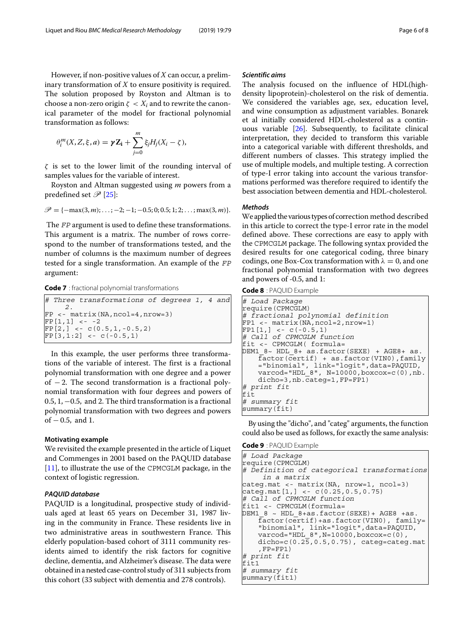However, if non-positive values of *X* can occur, a preliminary transformation of *X* to ensure positivity is required. The solution proposed by Royston and Altman is to choose a non-zero origin  $\zeta < X_i$  and to rewrite the canonical parameter of the model for fractional polynomial transformation as follows:

$$
\theta_i^m(X, Z, \xi, a) = \gamma Z_i + \sum_{j=0}^m \xi_j H_j(X_i - \zeta),
$$

 $\zeta$  is set to the lower limit of the rounding interval of samples values for the variable of interest.

Royston and Altman suggested using *m* powers from a predefined set  $\mathscr{P}$  [\[25\]](#page-7-17):

$$
\mathscr{P} = \{-\max(3,m);\ldots;-2;-1;-0.5;0;0.5;1;2;\ldots;\max(3,m)\}.
$$

The FP argument is used to define these transformations. This argument is a matrix. The number of rows correspond to the number of transformations tested, and the number of columns is the maximum number of degrees tested for a single transformation. An example of the FP argument:

**Code 7** : fractional polynomial transformations

|                 | $\#$ Three transformations of degrees 1, 4 and                  |  |
|-----------------|-----------------------------------------------------------------|--|
|                 | $FP < -$ matrix (NA, ncol=4, nrow=3)                            |  |
| $FPI[1,1] < -2$ |                                                                 |  |
|                 | $[FP[2, ] < -c(0.5, 1, -0.5, 2)]$<br>$[FP[3,1:2] < -c(-0.5,1)]$ |  |

In this example, the user performs three transformations of the variable of interest. The first is a fractional polynomial transformation with one degree and a power of − 2. The second transformation is a fractional polynomial transformation with four degrees and powers of 0.5, 1, −0.5, and 2. The third transformation is a fractional polynomial transformation with two degrees and powers of  $-0.5$ , and 1.

## **Motivating example**

We revisited the example presented in the article of Liquet and Commenges in 2001 based on the PAQUID database [\[11\]](#page-7-7), to illustrate the use of the CPMCGLM package, in the context of logistic regression.

# *PAQUID database*

PAQUID is a longitudinal, prospective study of individuals aged at least 65 years on December 31, 1987 living in the community in France. These residents live in two administrative areas in southwestern France. This elderly population-based cohort of 3111 community residents aimed to identify the risk factors for cognitive decline, dementia, and Alzheimer's disease. The data were obtained in a nested case-control study of 311 subjects from this cohort (33 subject with dementia and 278 controls).

#### *Scientific aims*

The analysis focused on the influence of HDL(highdensity lipoprotein)-cholesterol on the risk of dementia. We considered the variables age, sex, education level, and wine consumption as adjustment variables. Bonarek et al initially considered HDL-cholesterol as a continuous variable [\[26\]](#page-7-18). Subsequently, to facilitate clinical interpretation, they decided to transform this variable into a categorical variable with different thresholds, and different numbers of classes. This strategy implied the use of multiple models, and multiple testing. A correction of type-I error taking into account the various transformations performed was therefore required to identify the best association between dementia and HDL-cholesterol.

# *Methods*

We applied the various types of correction method described in this article to correct the type-I error rate in the model defined above. These corrections are easy to apply with the CPMCGLM package. The following syntax provided the desired results for one categorical coding, three binary codings, one Box-Cox transformation with  $\lambda = 0$ , and one fractional polynomial transformation with two degrees and powers of -0.5, and 1:

**Code 8** : PAQUID Example

| # Load Package                                                               |
|------------------------------------------------------------------------------|
| require (CPMCGLM)                                                            |
| # fractional polynomial definition                                           |
| $FPI < -$ matrix (NA, ncol=2, nrow=1)                                        |
| $[FP1[1,] < -c(-0.5, 1)]$                                                    |
| # Call of CPMCGLM function                                                   |
| fit <- CPMCGLM(formula=                                                      |
| DEM1 $8 \sim$ HDL $8+$ as. factor (SEXE) + AGE8+ as.                         |
| $factor(certif) + as.factor(VINO)$ , $family$                                |
| ="binomial", link="logit", data=PAQUID,                                      |
| $\text{varcod} = \text{"HDL 8", N=10000}, \text{boxsoc}(\theta), \text{nb}.$ |
| $dicho=3, nb.cateq=1, FP=FP1)$                                               |
| # print fit                                                                  |
| lfit                                                                         |
| # summary fit                                                                |
| summary (fit)                                                                |

By using the "dicho", and "categ" arguments, the function could also be used as follows, for exactly the same analysis:

**Code 9** : PAQUID Example

| in a matrix<br>factor(certif)+as.factor(VINO), family=<br>"binomial", link="logit", data=PAQUID,<br>$\text{varcod} = "HDL 8", N=10000, boxcov=c(0),$<br>$dicho=c(0.25, 0.5, 0.75)$ , categ=categ.mat<br>$, FP = FP1)$ | # Load Package                                      |
|-----------------------------------------------------------------------------------------------------------------------------------------------------------------------------------------------------------------------|-----------------------------------------------------|
|                                                                                                                                                                                                                       | require(CPMCGLM)                                    |
|                                                                                                                                                                                                                       | # Definition of categorical transformations         |
|                                                                                                                                                                                                                       |                                                     |
|                                                                                                                                                                                                                       | cateq.mat <- matrix(NA, nrow=1, ncol=3)             |
|                                                                                                                                                                                                                       | $\text{categ.mat}[1,] < -c(0.25, 0.5, 0.75)$        |
|                                                                                                                                                                                                                       | # Call of CPMCGLM function                          |
|                                                                                                                                                                                                                       | fit1 <- CPMCGLM (formula=                           |
|                                                                                                                                                                                                                       | DEM1 $8 \sim$ HDL $8+as.factor(SEXE) + AGE8 + as$ . |
|                                                                                                                                                                                                                       |                                                     |
|                                                                                                                                                                                                                       |                                                     |
|                                                                                                                                                                                                                       |                                                     |
|                                                                                                                                                                                                                       |                                                     |
|                                                                                                                                                                                                                       |                                                     |
|                                                                                                                                                                                                                       | # print fit                                         |
|                                                                                                                                                                                                                       | lfit1                                               |
|                                                                                                                                                                                                                       | # summary fit                                       |
|                                                                                                                                                                                                                       | summary (fit1)                                      |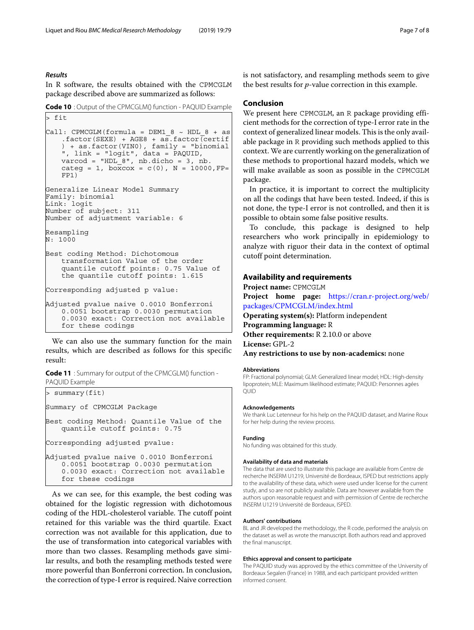#### *Results*

In R software, the results obtained with the CPMCGLM package described above are summarized as follows:

**Code 10** : Output of the CPMCGLM() function - PAQUID Example

```
> fit
Call: CPMCGLM(formula = DEM1 8 \sim HDL 8 + asfactor(SEXE) + AGE8 + asfactor(certif) + as.factor(VIN0), family = "binomial
    ", link = "logit", data = PAQUID,
   varcod = "HDL_8", nb.dicho = 3, nb.
   categ = 1, boxcox = c(0), N = 10000, FP =FP1)
Generalize Linear Model Summary
Family: binomial
Link: logit
Number of subject: 311
Number of adjustment variable: 6
Resampling
N: 1000
Best coding Method: Dichotomous
   transformation Value of the order
   quantile cutoff points: 0.75 Value of
   the quantile cutoff points: 1.615
Corresponding adjusted p value:
Adjusted pvalue naive 0.0010 Bonferroni
   0.0051 bootstrap 0.0030 permutation
   0.0030 exact: Correction not available
   for these codings
```
We can also use the summary function for the main results, which are described as follows for this specific result:

**Code 11** : Summary for output of the CPMCGLM() function - PAQUID Example

```
> summary(fit)
Summary of CPMCGLM Package
Best coding Method: Quantile Value of the
   quantile cutoff points: 0.75
Corresponding adjusted pvalue:
Adjusted pvalue naive 0.0010 Bonferroni
   0.0051 bootstrap 0.0030 permutation
   0.0030 exact: Correction not available
   for these codings
```
As we can see, for this example, the best coding was obtained for the logistic regression with dichotomous coding of the HDL-cholesterol variable. The cutoff point retained for this variable was the third quartile. Exact correction was not available for this application, due to the use of transformation into categorical variables with more than two classes. Resampling methods gave similar results, and both the resampling methods tested were more powerful than Bonferroni correction. In conclusion, the correction of type-I error is required. Naive correction is not satisfactory, and resampling methods seem to give the best results for *p*-value correction in this example.

# **Conclusion**

We present here CPMCGLM, an R package providing efficient methods for the correction of type-I error rate in the context of generalized linear models. This is the only available package in R providing such methods applied to this context. We are currently working on the generalization of these methods to proportional hazard models, which we will make available as soon as possible in the CPMCGLM package.

In practice, it is important to correct the multiplicity on all the codings that have been tested. Indeed, if this is not done, the type-I error is not controlled, and then it is possible to obtain some false positive results.

To conclude, this package is designed to help researchers who work principally in epidemiology to analyze with riguor their data in the context of optimal cutoff point determination.

# **Availability and requirements**

**Project name:** CPMCGLM **Project home page:** [https://cran.r-project.org/web/](https://cran.r-project.org/web/packages/CPMCGLM/index.html) [packages/CPMCGLM/index.html](https://cran.r-project.org/web/packages/CPMCGLM/index.html) **Operating system(s):** Platform independent **Programming language:** R **Other requirements:** R 2.10.0 or above **License:** GPL-2 **Any restrictions to use by non-academics:** none

#### **Abbreviations**

FP: Fractional polynomial; GLM: Generalized linear model; HDL: High-density lipoprotein; MLE: Maximum likelihood estimate; PAQUID: Personnes agées QUID

#### **Acknowledgements**

We thank Luc Letenneur for his help on the PAQUID dataset, and Marine Roux for her help during the review process.

#### **Funding**

No funding was obtained for this study.

#### **Availability of data and materials**

The data that are used to illustrate this package are available from Centre de recherche INSERM U1219, Université de Bordeaux, ISPED but restrictions apply to the availability of these data, which were used under license for the current study, and so are not publicly available. Data are however available from the authors upon reasonable request and with permission of Centre de recherche INSERM U1219 Université de Bordeaux, ISPED.

## **Authors' contributions**

BL and JR developed the methodology, the R code, performed the analysis on the dataset as well as wrote the manuscript. Both authors read and approved the final manuscript.

#### **Ethics approval and consent to participate**

The PAQUID study was approved by the ethics committee of the University of Bordeaux Segalen (France) in 1988, and each participant provided written informed consent.